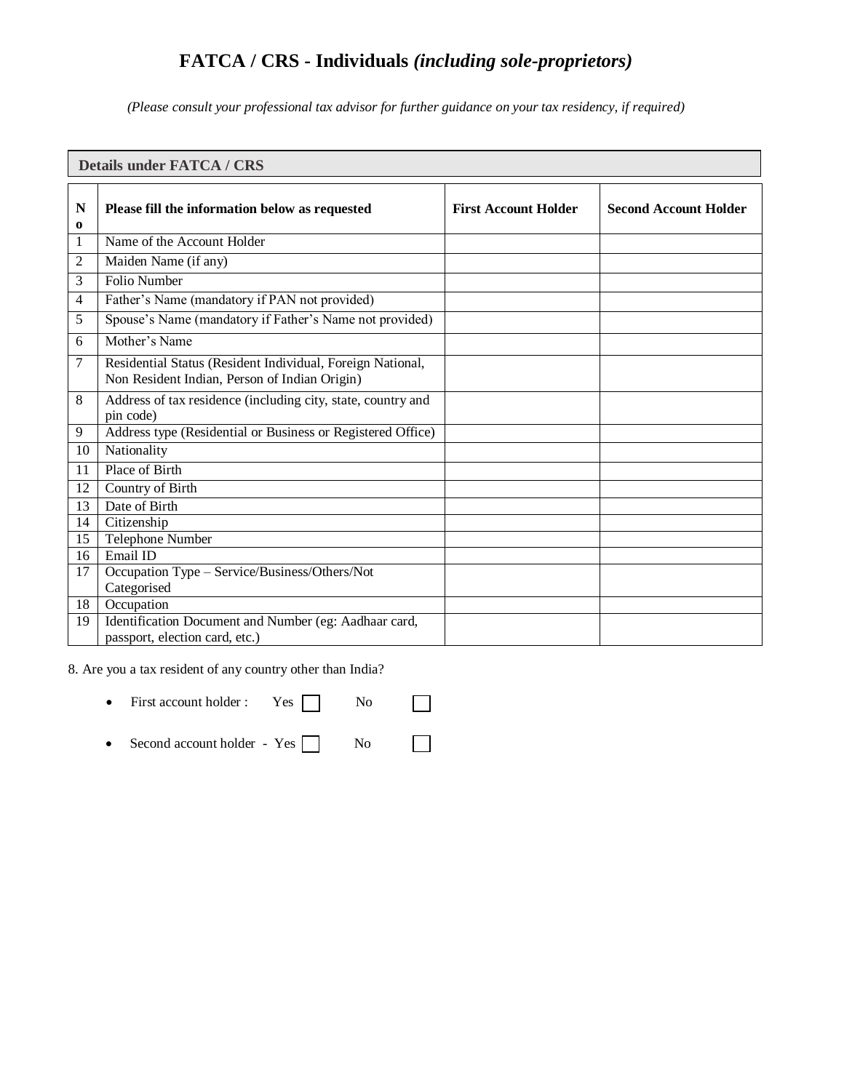# **FATCA / CRS - Individuals** *(including sole-proprietors)*

*(Please consult your professional tax advisor for further guidance on your tax residency, if required)*

| <b>Details under FATCA / CRS</b> |                                                                                                             |                             |                              |
|----------------------------------|-------------------------------------------------------------------------------------------------------------|-----------------------------|------------------------------|
| N<br>0                           | Please fill the information below as requested                                                              | <b>First Account Holder</b> | <b>Second Account Holder</b> |
| 1                                | Name of the Account Holder                                                                                  |                             |                              |
| 2                                | Maiden Name (if any)                                                                                        |                             |                              |
| 3                                | <b>Folio Number</b>                                                                                         |                             |                              |
| 4                                | Father's Name (mandatory if PAN not provided)                                                               |                             |                              |
| 5                                | Spouse's Name (mandatory if Father's Name not provided)                                                     |                             |                              |
| 6                                | Mother's Name                                                                                               |                             |                              |
| 7                                | Residential Status (Resident Individual, Foreign National,<br>Non Resident Indian, Person of Indian Origin) |                             |                              |
| 8                                | Address of tax residence (including city, state, country and<br>pin code)                                   |                             |                              |
| 9                                | Address type (Residential or Business or Registered Office)                                                 |                             |                              |
| 10                               | Nationality                                                                                                 |                             |                              |
| 11                               | Place of Birth                                                                                              |                             |                              |
| 12                               | Country of Birth                                                                                            |                             |                              |
| 13                               | Date of Birth                                                                                               |                             |                              |
| 14                               | Citizenship                                                                                                 |                             |                              |
| 15                               | Telephone Number                                                                                            |                             |                              |
| 16                               | Email ID                                                                                                    |                             |                              |
| 17                               | Occupation Type - Service/Business/Others/Not<br>Categorised                                                |                             |                              |
| 18                               | Occupation                                                                                                  |                             |                              |
| 19                               | Identification Document and Number (eg: Aadhaar card,<br>passport, election card, etc.)                     |                             |                              |

8. Are you a tax resident of any country other than India?

| • First account holder : Yes No         |  |  |
|-----------------------------------------|--|--|
| • Second account holder - Yes $\Box$ No |  |  |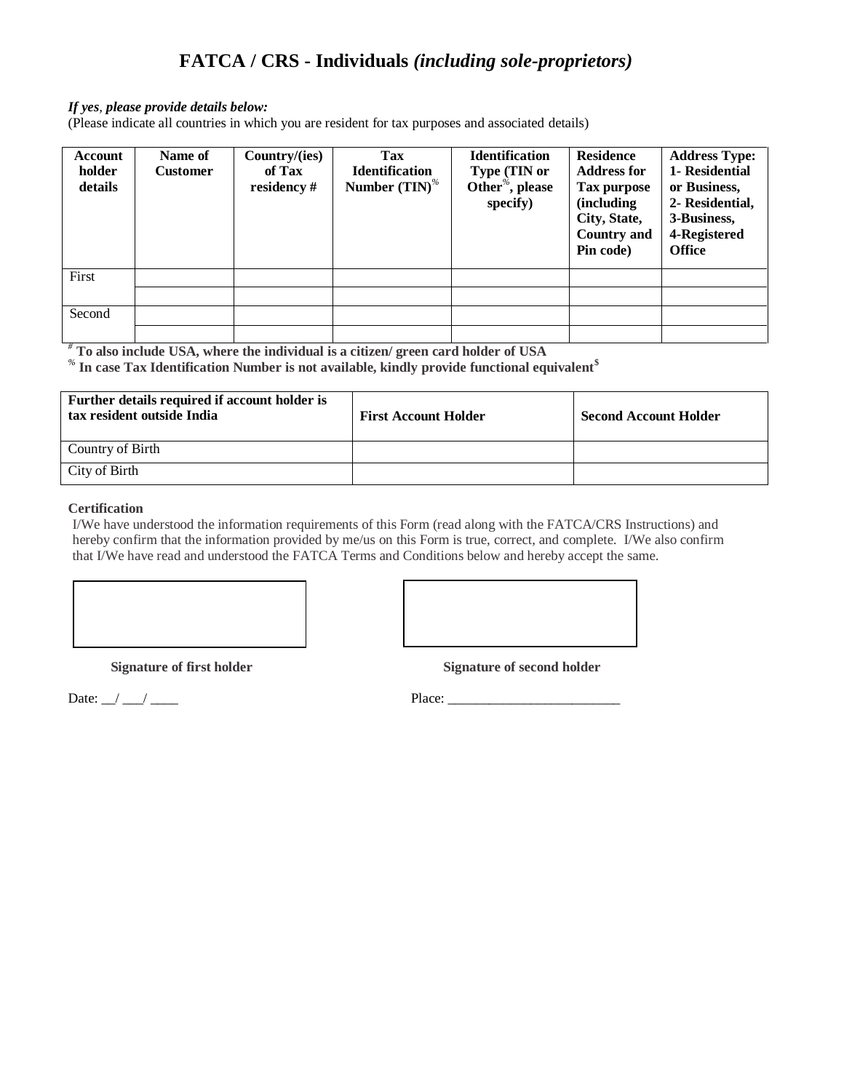# **FATCA / CRS - Individuals** *(including sole-proprietors)*

## *If yes, please provide details below:*

(Please indicate all countries in which you are resident for tax purposes and associated details)

| <b>Account</b><br>holder<br>details | Name of<br><b>Customer</b> | Country/(ies)<br>of Tax<br>residency # | <b>Tax</b><br><b>Identification</b><br>Number $(TIN)^{\%}$ | <b>Identification</b><br>Type (TIN or<br>Other <sup>%</sup> , please<br>specify) | <b>Residence</b><br><b>Address for</b><br>Tax purpose<br><i>(including)</i><br>City, State,<br><b>Country and</b><br>Pin code) | <b>Address Type:</b><br>1- Residential<br>or Business.<br>2- Residential,<br>3-Business,<br>4-Registered<br><b>Office</b> |
|-------------------------------------|----------------------------|----------------------------------------|------------------------------------------------------------|----------------------------------------------------------------------------------|--------------------------------------------------------------------------------------------------------------------------------|---------------------------------------------------------------------------------------------------------------------------|
| First                               |                            |                                        |                                                            |                                                                                  |                                                                                                                                |                                                                                                                           |
|                                     |                            |                                        |                                                            |                                                                                  |                                                                                                                                |                                                                                                                           |
| Second                              |                            |                                        |                                                            |                                                                                  |                                                                                                                                |                                                                                                                           |
|                                     |                            |                                        |                                                            |                                                                                  |                                                                                                                                |                                                                                                                           |

*#* **To also include USA, where the individual is a citizen/ green card holder of USA**

*%* **In case Tax Identification Number is not available, kindly provide functional equivalent\$**

| Further details required if account holder is<br>tax resident outside India | <b>First Account Holder</b> | <b>Second Account Holder</b> |
|-----------------------------------------------------------------------------|-----------------------------|------------------------------|
| Country of Birth                                                            |                             |                              |
| City of Birth                                                               |                             |                              |

#### **Certification**

I/We have understood the information requirements of this Form (read along with the FATCA/CRS Instructions) and hereby confirm that the information provided by me/us on this Form is true, correct, and complete. I/We also confirm that I/We have read and understood the FATCA Terms and Conditions below and hereby accept the same.

**Signature of first holder Signature of second holder** 

Date: \_\_/ \_\_\_/ \_\_\_\_ Place: \_\_\_\_\_\_\_\_\_\_\_\_\_\_\_\_\_\_\_\_\_\_\_\_\_